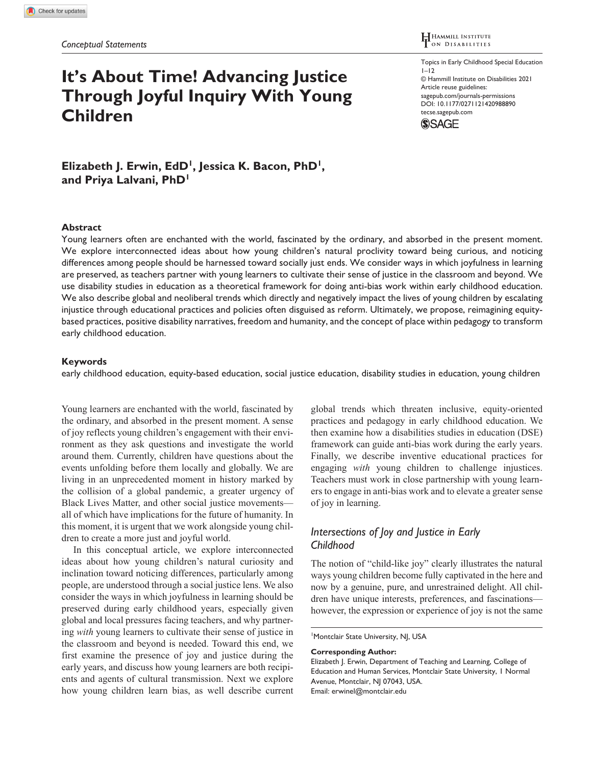# **It's About Time! Advancing Justice Through Joyful Inquiry With Young Children**

Topics in Early Childhood Special Education  $1 - 12$ © Hammill Institute on Disabilities 2021 Article reuse guidelines: [sagepub.com/journals-permissions](https://us.sagepub.com/en-us/journals-permissions) https://doi.org/10.1177/0271121420988890 DOI: 10.1177/0271121420988890 [tecse.sagepub.com](https://tecse.sagepub.com) **SSAGE** 

Elizabeth J. Erwin, EdD<sup>1</sup>, Jessica K. Bacon, PhD<sup>1</sup>, **and Priya Lalvani, PhD1**

#### **Abstract**

Young learners often are enchanted with the world, fascinated by the ordinary, and absorbed in the present moment. We explore interconnected ideas about how young children's natural proclivity toward being curious, and noticing differences among people should be harnessed toward socially just ends. We consider ways in which joyfulness in learning are preserved, as teachers partner with young learners to cultivate their sense of justice in the classroom and beyond. We use disability studies in education as a theoretical framework for doing anti-bias work within early childhood education. We also describe global and neoliberal trends which directly and negatively impact the lives of young children by escalating injustice through educational practices and policies often disguised as reform. Ultimately, we propose, reimagining equitybased practices, positive disability narratives, freedom and humanity, and the concept of place within pedagogy to transform early childhood education.

#### **Keywords**

early childhood education, equity-based education, social justice education, disability studies in education, young children

Young learners are enchanted with the world, fascinated by the ordinary, and absorbed in the present moment. A sense of joy reflects young children's engagement with their environment as they ask questions and investigate the world around them. Currently, children have questions about the events unfolding before them locally and globally. We are living in an unprecedented moment in history marked by the collision of a global pandemic, a greater urgency of Black Lives Matter, and other social justice movements all of which have implications for the future of humanity. In this moment, it is urgent that we work alongside young children to create a more just and joyful world.

In this conceptual article, we explore interconnected ideas about how young children's natural curiosity and inclination toward noticing differences, particularly among people, are understood through a social justice lens. We also consider the ways in which joyfulness in learning should be preserved during early childhood years, especially given global and local pressures facing teachers, and why partnering *with* young learners to cultivate their sense of justice in the classroom and beyond is needed. Toward this end, we first examine the presence of joy and justice during the early years, and discuss how young learners are both recipients and agents of cultural transmission. Next we explore how young children learn bias, as well describe current global trends which threaten inclusive, equity-oriented practices and pedagogy in early childhood education. We then examine how a disabilities studies in education (DSE) framework can guide anti-bias work during the early years. Finally, we describe inventive educational practices for engaging *with* young children to challenge injustices. Teachers must work in close partnership with young learners to engage in anti-bias work and to elevate a greater sense of joy in learning.

## *Intersections of Joy and Justice in Early Childhood*

The notion of "child-like joy" clearly illustrates the natural ways young children become fully captivated in the here and now by a genuine, pure, and unrestrained delight. All children have unique interests, preferences, and fascinations however, the expression or experience of joy is not the same

<sup>1</sup> Montclair State University, NJ, USA

**Corresponding Author:**

Elizabeth J. Erwin, Department of Teaching and Learning, College of Education and Human Services, Montclair State University, 1 Normal Avenue, Montclair, NJ 07043, USA. Email: [erwinel@montclair.edu](mailto:erwinel@montclair.edu)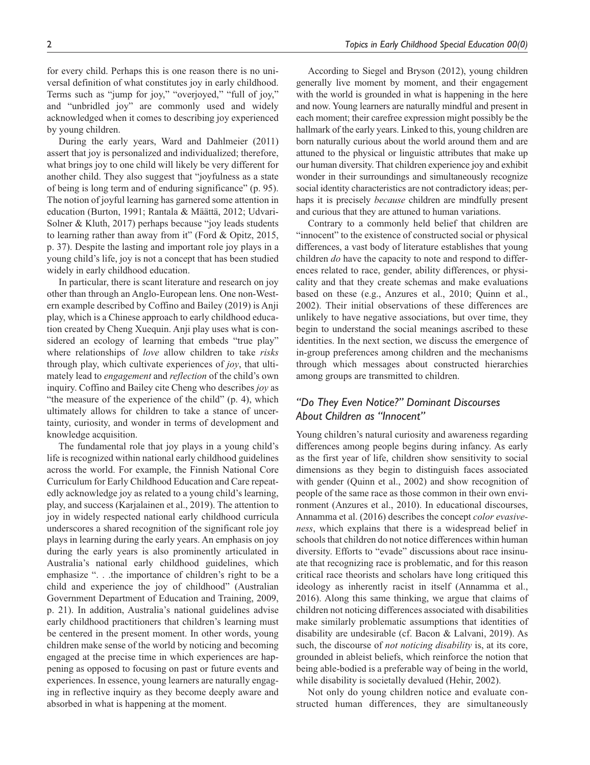for every child. Perhaps this is one reason there is no universal definition of what constitutes joy in early childhood. Terms such as "jump for joy," "overjoyed," "full of joy," and "unbridled joy" are commonly used and widely acknowledged when it comes to describing joy experienced by young children.

During the early years, Ward and Dahlmeier (2011) assert that joy is personalized and individualized; therefore, what brings joy to one child will likely be very different for another child. They also suggest that "joyfulness as a state of being is long term and of enduring significance" (p. 95). The notion of joyful learning has garnered some attention in education (Burton, 1991; Rantala & Määttä, 2012; Udvari-Solner & Kluth, 2017) perhaps because "joy leads students to learning rather than away from it" (Ford & Opitz, 2015, p. 37). Despite the lasting and important role joy plays in a young child's life, joy is not a concept that has been studied widely in early childhood education.

In particular, there is scant literature and research on joy other than through an Anglo-European lens. One non-Western example described by Coffino and Bailey (2019) is Anji play, which is a Chinese approach to early childhood education created by Cheng Xuequin. Anji play uses what is considered an ecology of learning that embeds "true play" where relationships of *love* allow children to take *risks* through play, which cultivate experiences of *joy*, that ultimately lead to *engagement* and *reflection* of the child's own inquiry. Coffino and Bailey cite Cheng who describes *joy* as "the measure of the experience of the child" (p. 4), which ultimately allows for children to take a stance of uncertainty, curiosity, and wonder in terms of development and knowledge acquisition.

The fundamental role that joy plays in a young child's life is recognized within national early childhood guidelines across the world. For example, the Finnish National Core Curriculum for Early Childhood Education and Care repeatedly acknowledge joy as related to a young child's learning, play, and success (Karjalainen et al., 2019). The attention to joy in widely respected national early childhood curricula underscores a shared recognition of the significant role joy plays in learning during the early years. An emphasis on joy during the early years is also prominently articulated in Australia's national early childhood guidelines, which emphasize ". . .the importance of children's right to be a child and experience the joy of childhood" (Australian Government Department of Education and Training, 2009, p. 21). In addition, Australia's national guidelines advise early childhood practitioners that children's learning must be centered in the present moment. In other words, young children make sense of the world by noticing and becoming engaged at the precise time in which experiences are happening as opposed to focusing on past or future events and experiences. In essence, young learners are naturally engaging in reflective inquiry as they become deeply aware and absorbed in what is happening at the moment.

According to Siegel and Bryson (2012), young children generally live moment by moment, and their engagement with the world is grounded in what is happening in the here and now. Young learners are naturally mindful and present in each moment; their carefree expression might possibly be the hallmark of the early years. Linked to this, young children are born naturally curious about the world around them and are attuned to the physical or linguistic attributes that make up our human diversity. That children experience joy and exhibit wonder in their surroundings and simultaneously recognize social identity characteristics are not contradictory ideas; perhaps it is precisely *because* children are mindfully present and curious that they are attuned to human variations.

Contrary to a commonly held belief that children are "innocent" to the existence of constructed social or physical differences, a vast body of literature establishes that young children *do* have the capacity to note and respond to differences related to race, gender, ability differences, or physicality and that they create schemas and make evaluations based on these (e.g., Anzures et al., 2010; Quinn et al., 2002). Their initial observations of these differences are unlikely to have negative associations, but over time, they begin to understand the social meanings ascribed to these identities. In the next section, we discuss the emergence of in-group preferences among children and the mechanisms through which messages about constructed hierarchies among groups are transmitted to children.

# *"Do They Even Notice?" Dominant Discourses About Children as "Innocent"*

Young children's natural curiosity and awareness regarding differences among people begins during infancy. As early as the first year of life, children show sensitivity to social dimensions as they begin to distinguish faces associated with gender (Quinn et al., 2002) and show recognition of people of the same race as those common in their own environment (Anzures et al., 2010). In educational discourses, Annamma et al. (2016) describes the concept *color evasiveness*, which explains that there is a widespread belief in schools that children do not notice differences within human diversity. Efforts to "evade" discussions about race insinuate that recognizing race is problematic, and for this reason critical race theorists and scholars have long critiqued this ideology as inherently racist in itself (Annamma et al., 2016). Along this same thinking, we argue that claims of children not noticing differences associated with disabilities make similarly problematic assumptions that identities of disability are undesirable (cf. Bacon & Lalvani, 2019). As such, the discourse of *not noticing disability* is, at its core, grounded in ableist beliefs, which reinforce the notion that being able-bodied is a preferable way of being in the world, while disability is societally devalued (Hehir, 2002).

Not only do young children notice and evaluate constructed human differences, they are simultaneously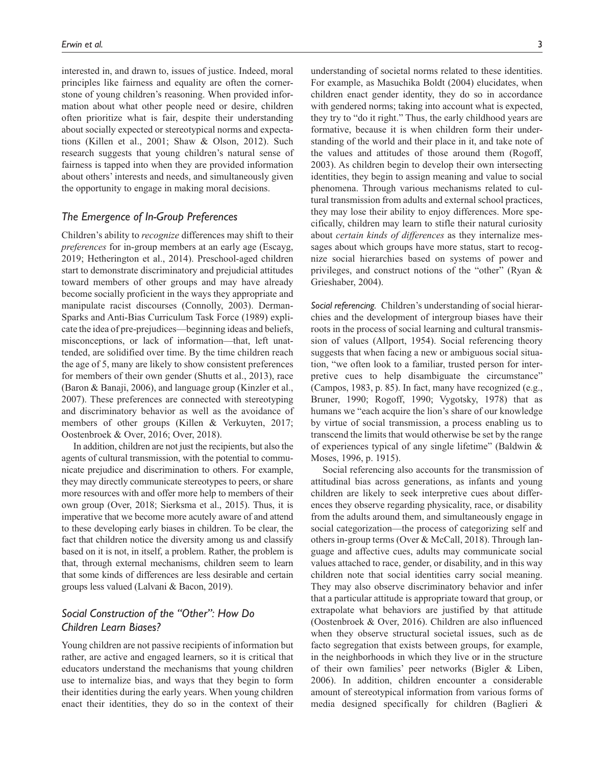interested in, and drawn to, issues of justice. Indeed, moral principles like fairness and equality are often the cornerstone of young children's reasoning. When provided information about what other people need or desire, children often prioritize what is fair, despite their understanding about socially expected or stereotypical norms and expectations (Killen et al., 2001; Shaw & Olson, 2012). Such research suggests that young children's natural sense of fairness is tapped into when they are provided information about others' interests and needs, and simultaneously given the opportunity to engage in making moral decisions.

#### *The Emergence of In-Group Preferences*

Children's ability to *recognize* differences may shift to their *preferences* for in-group members at an early age (Escayg, 2019; Hetherington et al., 2014). Preschool-aged children start to demonstrate discriminatory and prejudicial attitudes toward members of other groups and may have already become socially proficient in the ways they appropriate and manipulate racist discourses (Connolly, 2003). Derman-Sparks and Anti-Bias Curriculum Task Force (1989) explicate the idea of pre-prejudices—beginning ideas and beliefs, misconceptions, or lack of information—that, left unattended, are solidified over time. By the time children reach the age of 5, many are likely to show consistent preferences for members of their own gender (Shutts et al., 2013), race (Baron & Banaji, 2006), and language group (Kinzler et al., 2007). These preferences are connected with stereotyping and discriminatory behavior as well as the avoidance of members of other groups (Killen & Verkuyten, 2017; Oostenbroek & Over, 2016; Over, 2018).

In addition, children are not just the recipients, but also the agents of cultural transmission, with the potential to communicate prejudice and discrimination to others. For example, they may directly communicate stereotypes to peers, or share more resources with and offer more help to members of their own group (Over, 2018; Sierksma et al., 2015). Thus, it is imperative that we become more acutely aware of and attend to these developing early biases in children. To be clear, the fact that children notice the diversity among us and classify based on it is not, in itself, a problem. Rather, the problem is that, through external mechanisms, children seem to learn that some kinds of differences are less desirable and certain groups less valued (Lalvani & Bacon, 2019).

## *Social Construction of the "Other": How Do Children Learn Biases?*

Young children are not passive recipients of information but rather, are active and engaged learners, so it is critical that educators understand the mechanisms that young children use to internalize bias, and ways that they begin to form their identities during the early years. When young children enact their identities, they do so in the context of their For example, as Masuchika Boldt (2004) elucidates, when children enact gender identity, they do so in accordance with gendered norms; taking into account what is expected, they try to "do it right." Thus, the early childhood years are formative, because it is when children form their understanding of the world and their place in it, and take note of the values and attitudes of those around them (Rogoff, 2003). As children begin to develop their own intersecting identities, they begin to assign meaning and value to social phenomena. Through various mechanisms related to cultural transmission from adults and external school practices, they may lose their ability to enjoy differences. More specifically, children may learn to stifle their natural curiosity about *certain kinds of differences* as they internalize messages about which groups have more status, start to recognize social hierarchies based on systems of power and privileges, and construct notions of the "other" (Ryan & Grieshaber, 2004).

*Social referencing.* Children's understanding of social hierarchies and the development of intergroup biases have their roots in the process of social learning and cultural transmission of values (Allport, 1954). Social referencing theory suggests that when facing a new or ambiguous social situation, "we often look to a familiar, trusted person for interpretive cues to help disambiguate the circumstance" (Campos, 1983, p. 85). In fact, many have recognized (e.g., Bruner, 1990; Rogoff, 1990; Vygotsky, 1978) that as humans we "each acquire the lion's share of our knowledge by virtue of social transmission, a process enabling us to transcend the limits that would otherwise be set by the range of experiences typical of any single lifetime" (Baldwin & Moses, 1996, p. 1915).

Social referencing also accounts for the transmission of attitudinal bias across generations, as infants and young children are likely to seek interpretive cues about differences they observe regarding physicality, race, or disability from the adults around them, and simultaneously engage in social categorization—the process of categorizing self and others in-group terms (Over & McCall, 2018). Through language and affective cues, adults may communicate social values attached to race, gender, or disability, and in this way children note that social identities carry social meaning. They may also observe discriminatory behavior and infer that a particular attitude is appropriate toward that group, or extrapolate what behaviors are justified by that attitude (Oostenbroek & Over, 2016). Children are also influenced when they observe structural societal issues, such as de facto segregation that exists between groups, for example, in the neighborhoods in which they live or in the structure of their own families' peer networks (Bigler & Liben, 2006). In addition, children encounter a considerable amount of stereotypical information from various forms of media designed specifically for children (Baglieri &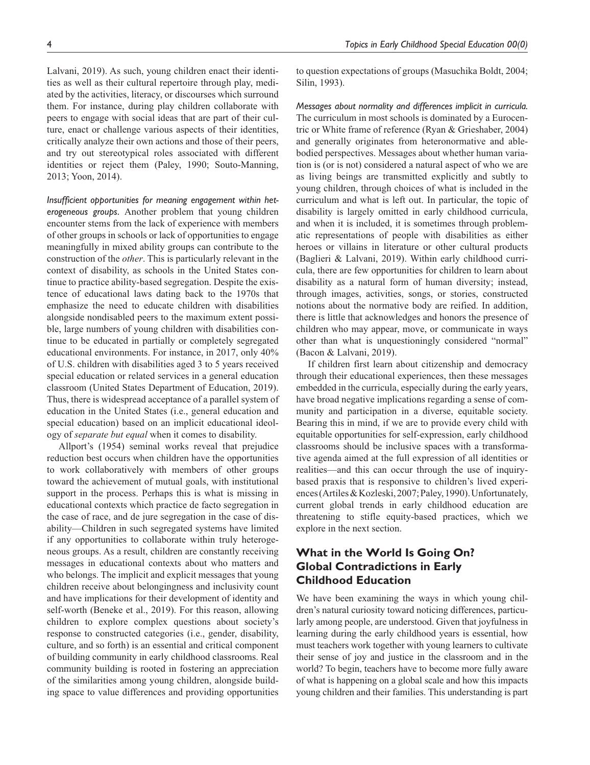Lalvani, 2019). As such, young children enact their identities as well as their cultural repertoire through play, mediated by the activities, literacy, or discourses which surround them. For instance, during play children collaborate with peers to engage with social ideas that are part of their culture, enact or challenge various aspects of their identities, critically analyze their own actions and those of their peers, and try out stereotypical roles associated with different identities or reject them (Paley, 1990; Souto-Manning, 2013; Yoon, 2014).

*Insufficient opportunities for meaning engagement within heterogeneous groups.* Another problem that young children encounter stems from the lack of experience with members of other groups in schools or lack of opportunities to engage meaningfully in mixed ability groups can contribute to the construction of the *other*. This is particularly relevant in the context of disability, as schools in the United States continue to practice ability-based segregation. Despite the existence of educational laws dating back to the 1970s that emphasize the need to educate children with disabilities alongside nondisabled peers to the maximum extent possible, large numbers of young children with disabilities continue to be educated in partially or completely segregated educational environments. For instance, in 2017, only 40% of U.S. children with disabilities aged 3 to 5 years received special education or related services in a general education classroom (United States Department of Education, 2019). Thus, there is widespread acceptance of a parallel system of education in the United States (i.e., general education and special education) based on an implicit educational ideology of *separate but equal* when it comes to disability.

Allport's (1954) seminal works reveal that prejudice reduction best occurs when children have the opportunities to work collaboratively with members of other groups toward the achievement of mutual goals, with institutional support in the process. Perhaps this is what is missing in educational contexts which practice de facto segregation in the case of race, and de jure segregation in the case of disability—Children in such segregated systems have limited if any opportunities to collaborate within truly heterogeneous groups. As a result, children are constantly receiving messages in educational contexts about who matters and who belongs. The implicit and explicit messages that young children receive about belongingness and inclusivity count and have implications for their development of identity and self-worth (Beneke et al., 2019). For this reason, allowing children to explore complex questions about society's response to constructed categories (i.e., gender, disability, culture, and so forth) is an essential and critical component of building community in early childhood classrooms. Real community building is rooted in fostering an appreciation of the similarities among young children, alongside building space to value differences and providing opportunities to question expectations of groups (Masuchika Boldt, 2004; Silin, 1993).

*Messages about normality and differences implicit in curricula.* The curriculum in most schools is dominated by a Eurocentric or White frame of reference (Ryan & Grieshaber, 2004) and generally originates from heteronormative and ablebodied perspectives. Messages about whether human variation is (or is not) considered a natural aspect of who we are as living beings are transmitted explicitly and subtly to young children, through choices of what is included in the curriculum and what is left out. In particular, the topic of disability is largely omitted in early childhood curricula, and when it is included, it is sometimes through problematic representations of people with disabilities as either heroes or villains in literature or other cultural products (Baglieri & Lalvani, 2019). Within early childhood curricula, there are few opportunities for children to learn about disability as a natural form of human diversity; instead, through images, activities, songs, or stories, constructed notions about the normative body are reified. In addition, there is little that acknowledges and honors the presence of children who may appear, move, or communicate in ways other than what is unquestioningly considered "normal" (Bacon & Lalvani, 2019).

If children first learn about citizenship and democracy through their educational experiences, then these messages embedded in the curricula, especially during the early years, have broad negative implications regarding a sense of community and participation in a diverse, equitable society. Bearing this in mind, if we are to provide every child with equitable opportunities for self-expression, early childhood classrooms should be inclusive spaces with a transformative agenda aimed at the full expression of all identities or realities—and this can occur through the use of inquirybased praxis that is responsive to children's lived experiences (Artiles & Kozleski, 2007; Paley, 1990). Unfortunately, current global trends in early childhood education are threatening to stifle equity-based practices, which we explore in the next section.

# **What in the World Is Going On? Global Contradictions in Early Childhood Education**

We have been examining the ways in which young children's natural curiosity toward noticing differences, particularly among people, are understood. Given that joyfulness in learning during the early childhood years is essential, how must teachers work together with young learners to cultivate their sense of joy and justice in the classroom and in the world? To begin, teachers have to become more fully aware of what is happening on a global scale and how this impacts young children and their families. This understanding is part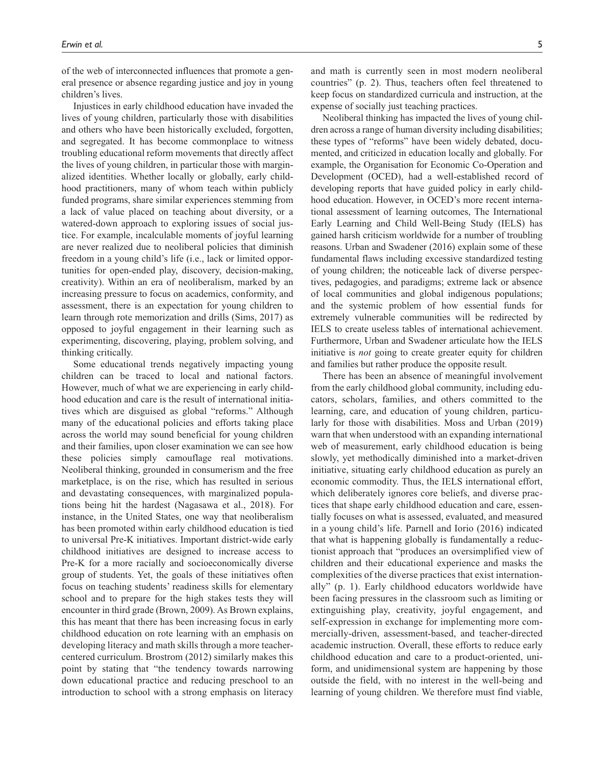of the web of interconnected influences that promote a general presence or absence regarding justice and joy in young children's lives.

Injustices in early childhood education have invaded the lives of young children, particularly those with disabilities and others who have been historically excluded, forgotten, and segregated. It has become commonplace to witness troubling educational reform movements that directly affect the lives of young children, in particular those with marginalized identities. Whether locally or globally, early childhood practitioners, many of whom teach within publicly funded programs, share similar experiences stemming from a lack of value placed on teaching about diversity, or a watered-down approach to exploring issues of social justice. For example, incalculable moments of joyful learning are never realized due to neoliberal policies that diminish freedom in a young child's life (i.e., lack or limited opportunities for open-ended play, discovery, decision-making, creativity). Within an era of neoliberalism, marked by an increasing pressure to focus on academics, conformity, and assessment, there is an expectation for young children to learn through rote memorization and drills (Sims, 2017) as opposed to joyful engagement in their learning such as experimenting, discovering, playing, problem solving, and thinking critically.

Some educational trends negatively impacting young children can be traced to local and national factors. However, much of what we are experiencing in early childhood education and care is the result of international initiatives which are disguised as global "reforms." Although many of the educational policies and efforts taking place across the world may sound beneficial for young children and their families, upon closer examination we can see how these policies simply camouflage real motivations. Neoliberal thinking, grounded in consumerism and the free marketplace, is on the rise, which has resulted in serious and devastating consequences, with marginalized populations being hit the hardest (Nagasawa et al., 2018). For instance, in the United States, one way that neoliberalism has been promoted within early childhood education is tied to universal Pre-K initiatives. Important district-wide early childhood initiatives are designed to increase access to Pre-K for a more racially and socioeconomically diverse group of students. Yet, the goals of these initiatives often focus on teaching students' readiness skills for elementary school and to prepare for the high stakes tests they will encounter in third grade (Brown, 2009). As Brown explains, this has meant that there has been increasing focus in early childhood education on rote learning with an emphasis on developing literacy and math skills through a more teachercentered curriculum. Brostrom (2012) similarly makes this point by stating that "the tendency towards narrowing down educational practice and reducing preschool to an introduction to school with a strong emphasis on literacy and math is currently seen in most modern neoliberal countries" (p. 2). Thus, teachers often feel threatened to keep focus on standardized curricula and instruction, at the expense of socially just teaching practices.

Neoliberal thinking has impacted the lives of young children across a range of human diversity including disabilities; these types of "reforms" have been widely debated, documented, and criticized in education locally and globally. For example, the Organisation for Economic Co-Operation and Development (OCED), had a well-established record of developing reports that have guided policy in early childhood education. However, in OCED's more recent international assessment of learning outcomes, The International Early Learning and Child Well-Being Study (IELS) has gained harsh criticism worldwide for a number of troubling reasons. Urban and Swadener (2016) explain some of these fundamental flaws including excessive standardized testing of young children; the noticeable lack of diverse perspectives, pedagogies, and paradigms; extreme lack or absence of local communities and global indigenous populations; and the systemic problem of how essential funds for extremely vulnerable communities will be redirected by IELS to create useless tables of international achievement. Furthermore, Urban and Swadener articulate how the IELS initiative is *not* going to create greater equity for children and families but rather produce the opposite result.

There has been an absence of meaningful involvement from the early childhood global community, including educators, scholars, families, and others committed to the learning, care, and education of young children, particularly for those with disabilities. Moss and Urban (2019) warn that when understood with an expanding international web of measurement, early childhood education is being slowly, yet methodically diminished into a market-driven initiative, situating early childhood education as purely an economic commodity. Thus, the IELS international effort, which deliberately ignores core beliefs, and diverse practices that shape early childhood education and care, essentially focuses on what is assessed, evaluated, and measured in a young child's life. Parnell and Iorio (2016) indicated that what is happening globally is fundamentally a reductionist approach that "produces an oversimplified view of children and their educational experience and masks the complexities of the diverse practices that exist internationally" (p. 1). Early childhood educators worldwide have been facing pressures in the classroom such as limiting or extinguishing play, creativity, joyful engagement, and self-expression in exchange for implementing more commercially-driven, assessment-based, and teacher-directed academic instruction. Overall, these efforts to reduce early childhood education and care to a product-oriented, uniform, and unidimensional system are happening by those outside the field, with no interest in the well-being and learning of young children. We therefore must find viable,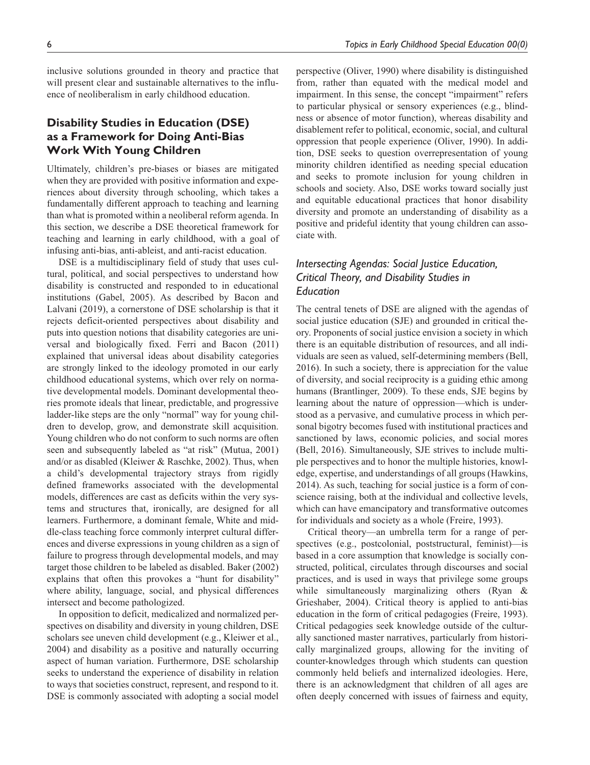inclusive solutions grounded in theory and practice that will present clear and sustainable alternatives to the influence of neoliberalism in early childhood education.

# **Disability Studies in Education (DSE) as a Framework for Doing Anti-Bias Work With Young Children**

Ultimately, children's pre-biases or biases are mitigated when they are provided with positive information and experiences about diversity through schooling, which takes a fundamentally different approach to teaching and learning than what is promoted within a neoliberal reform agenda. In this section, we describe a DSE theoretical framework for teaching and learning in early childhood, with a goal of infusing anti-bias, anti-ableist, and anti-racist education.

DSE is a multidisciplinary field of study that uses cultural, political, and social perspectives to understand how disability is constructed and responded to in educational institutions (Gabel, 2005). As described by Bacon and Lalvani (2019), a cornerstone of DSE scholarship is that it rejects deficit-oriented perspectives about disability and puts into question notions that disability categories are universal and biologically fixed. Ferri and Bacon (2011) explained that universal ideas about disability categories are strongly linked to the ideology promoted in our early childhood educational systems, which over rely on normative developmental models. Dominant developmental theories promote ideals that linear, predictable, and progressive ladder-like steps are the only "normal" way for young children to develop, grow, and demonstrate skill acquisition. Young children who do not conform to such norms are often seen and subsequently labeled as "at risk" (Mutua, 2001) and/or as disabled (Kleiwer & Raschke, 2002). Thus, when a child's developmental trajectory strays from rigidly defined frameworks associated with the developmental models, differences are cast as deficits within the very systems and structures that, ironically, are designed for all learners. Furthermore, a dominant female, White and middle-class teaching force commonly interpret cultural differences and diverse expressions in young children as a sign of failure to progress through developmental models, and may target those children to be labeled as disabled. Baker (2002) explains that often this provokes a "hunt for disability" where ability, language, social, and physical differences intersect and become pathologized.

In opposition to deficit, medicalized and normalized perspectives on disability and diversity in young children, DSE scholars see uneven child development (e.g., Kleiwer et al., 2004) and disability as a positive and naturally occurring aspect of human variation. Furthermore, DSE scholarship seeks to understand the experience of disability in relation to ways that societies construct, represent, and respond to it. DSE is commonly associated with adopting a social model perspective (Oliver, 1990) where disability is distinguished from, rather than equated with the medical model and impairment. In this sense, the concept "impairment" refers to particular physical or sensory experiences (e.g., blindness or absence of motor function), whereas disability and disablement refer to political, economic, social, and cultural oppression that people experience (Oliver, 1990). In addition, DSE seeks to question overrepresentation of young minority children identified as needing special education and seeks to promote inclusion for young children in schools and society. Also, DSE works toward socially just and equitable educational practices that honor disability diversity and promote an understanding of disability as a positive and prideful identity that young children can associate with.

# *Intersecting Agendas: Social Justice Education, Critical Theory, and Disability Studies in Education*

The central tenets of DSE are aligned with the agendas of social justice education (SJE) and grounded in critical theory. Proponents of social justice envision a society in which there is an equitable distribution of resources, and all individuals are seen as valued, self-determining members (Bell, 2016). In such a society, there is appreciation for the value of diversity, and social reciprocity is a guiding ethic among humans (Brantlinger, 2009). To these ends, SJE begins by learning about the nature of oppression—which is understood as a pervasive, and cumulative process in which personal bigotry becomes fused with institutional practices and sanctioned by laws, economic policies, and social mores (Bell, 2016). Simultaneously, SJE strives to include multiple perspectives and to honor the multiple histories, knowledge, expertise, and understandings of all groups (Hawkins, 2014). As such, teaching for social justice is a form of conscience raising, both at the individual and collective levels, which can have emancipatory and transformative outcomes for individuals and society as a whole (Freire, 1993).

Critical theory—an umbrella term for a range of perspectives (e.g., postcolonial, poststructural, feminist)—is based in a core assumption that knowledge is socially constructed, political, circulates through discourses and social practices, and is used in ways that privilege some groups while simultaneously marginalizing others (Ryan & Grieshaber, 2004). Critical theory is applied to anti-bias education in the form of critical pedagogies (Freire, 1993). Critical pedagogies seek knowledge outside of the culturally sanctioned master narratives, particularly from historically marginalized groups, allowing for the inviting of counter-knowledges through which students can question commonly held beliefs and internalized ideologies. Here, there is an acknowledgment that children of all ages are often deeply concerned with issues of fairness and equity,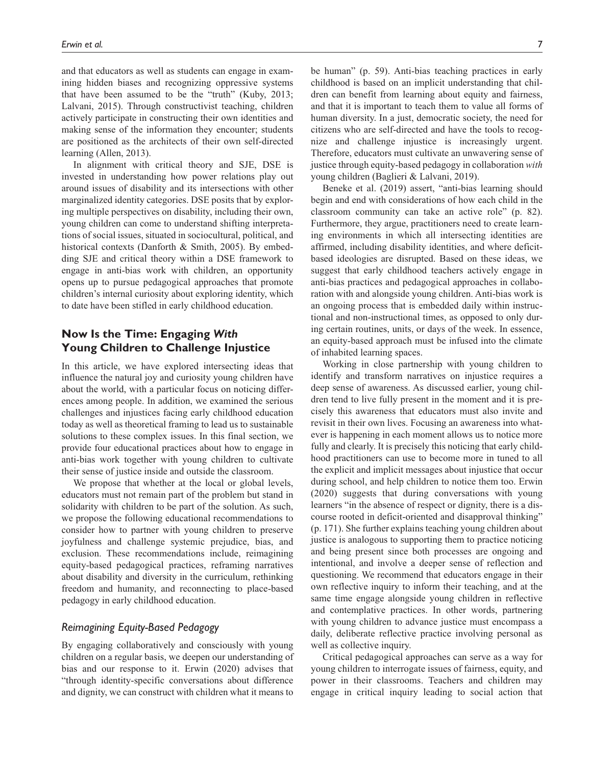and that educators as well as students can engage in examining hidden biases and recognizing oppressive systems that have been assumed to be the "truth" (Kuby, 2013; Lalvani, 2015). Through constructivist teaching, children actively participate in constructing their own identities and making sense of the information they encounter; students are positioned as the architects of their own self-directed learning (Allen, 2013).

In alignment with critical theory and SJE, DSE is invested in understanding how power relations play out around issues of disability and its intersections with other marginalized identity categories. DSE posits that by exploring multiple perspectives on disability, including their own, young children can come to understand shifting interpretations of social issues, situated in sociocultural, political, and historical contexts (Danforth & Smith, 2005). By embedding SJE and critical theory within a DSE framework to engage in anti-bias work with children, an opportunity opens up to pursue pedagogical approaches that promote children's internal curiosity about exploring identity, which to date have been stifled in early childhood education.

## **Now Is the Time: Engaging** *With* **Young Children to Challenge Injustice**

In this article, we have explored intersecting ideas that influence the natural joy and curiosity young children have about the world, with a particular focus on noticing differences among people. In addition, we examined the serious challenges and injustices facing early childhood education today as well as theoretical framing to lead us to sustainable solutions to these complex issues. In this final section, we provide four educational practices about how to engage in anti-bias work together with young children to cultivate their sense of justice inside and outside the classroom.

We propose that whether at the local or global levels, educators must not remain part of the problem but stand in solidarity with children to be part of the solution. As such, we propose the following educational recommendations to consider how to partner with young children to preserve joyfulness and challenge systemic prejudice, bias, and exclusion. These recommendations include, reimagining equity-based pedagogical practices, reframing narratives about disability and diversity in the curriculum, rethinking freedom and humanity, and reconnecting to place-based pedagogy in early childhood education.

## *Reimagining Equity-Based Pedagogy*

By engaging collaboratively and consciously with young children on a regular basis, we deepen our understanding of bias and our response to it. Erwin (2020) advises that "through identity-specific conversations about difference and dignity, we can construct with children what it means to

be human" (p. 59). Anti-bias teaching practices in early childhood is based on an implicit understanding that children can benefit from learning about equity and fairness, and that it is important to teach them to value all forms of human diversity. In a just, democratic society, the need for citizens who are self-directed and have the tools to recognize and challenge injustice is increasingly urgent. Therefore, educators must cultivate an unwavering sense of justice through equity-based pedagogy in collaboration *with* young children (Baglieri & Lalvani, 2019).

Beneke et al. (2019) assert, "anti-bias learning should begin and end with considerations of how each child in the classroom community can take an active role" (p. 82). Furthermore, they argue, practitioners need to create learning environments in which all intersecting identities are affirmed, including disability identities, and where deficitbased ideologies are disrupted. Based on these ideas, we suggest that early childhood teachers actively engage in anti-bias practices and pedagogical approaches in collaboration with and alongside young children. Anti-bias work is an ongoing process that is embedded daily within instructional and non-instructional times, as opposed to only during certain routines, units, or days of the week. In essence, an equity-based approach must be infused into the climate of inhabited learning spaces.

Working in close partnership with young children to identify and transform narratives on injustice requires a deep sense of awareness. As discussed earlier, young children tend to live fully present in the moment and it is precisely this awareness that educators must also invite and revisit in their own lives. Focusing an awareness into whatever is happening in each moment allows us to notice more fully and clearly. It is precisely this noticing that early childhood practitioners can use to become more in tuned to all the explicit and implicit messages about injustice that occur during school, and help children to notice them too. Erwin (2020) suggests that during conversations with young learners "in the absence of respect or dignity, there is a discourse rooted in deficit-oriented and disapproval thinking" (p. 171). She further explains teaching young children about justice is analogous to supporting them to practice noticing and being present since both processes are ongoing and intentional, and involve a deeper sense of reflection and questioning. We recommend that educators engage in their own reflective inquiry to inform their teaching, and at the same time engage alongside young children in reflective and contemplative practices. In other words, partnering with young children to advance justice must encompass a daily, deliberate reflective practice involving personal as well as collective inquiry.

Critical pedagogical approaches can serve as a way for young children to interrogate issues of fairness, equity, and power in their classrooms. Teachers and children may engage in critical inquiry leading to social action that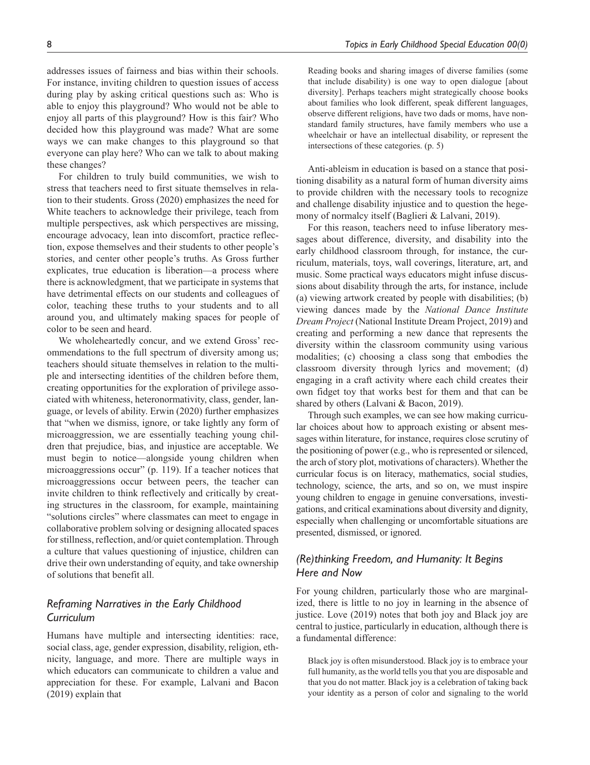addresses issues of fairness and bias within their schools. For instance, inviting children to question issues of access during play by asking critical questions such as: Who is able to enjoy this playground? Who would not be able to enjoy all parts of this playground? How is this fair? Who decided how this playground was made? What are some ways we can make changes to this playground so that everyone can play here? Who can we talk to about making these changes?

For children to truly build communities, we wish to stress that teachers need to first situate themselves in relation to their students. Gross (2020) emphasizes the need for White teachers to acknowledge their privilege, teach from multiple perspectives, ask which perspectives are missing, encourage advocacy, lean into discomfort, practice reflection, expose themselves and their students to other people's stories, and center other people's truths. As Gross further explicates, true education is liberation—a process where there is acknowledgment, that we participate in systems that have detrimental effects on our students and colleagues of color, teaching these truths to your students and to all around you, and ultimately making spaces for people of color to be seen and heard.

We wholeheartedly concur, and we extend Gross' recommendations to the full spectrum of diversity among us; teachers should situate themselves in relation to the multiple and intersecting identities of the children before them, creating opportunities for the exploration of privilege associated with whiteness, heteronormativity, class, gender, language, or levels of ability. Erwin (2020) further emphasizes that "when we dismiss, ignore, or take lightly any form of microaggression, we are essentially teaching young children that prejudice, bias, and injustice are acceptable. We must begin to notice—alongside young children when microaggressions occur" (p. 119). If a teacher notices that microaggressions occur between peers, the teacher can invite children to think reflectively and critically by creating structures in the classroom, for example, maintaining "solutions circles" where classmates can meet to engage in collaborative problem solving or designing allocated spaces for stillness, reflection, and/or quiet contemplation. Through a culture that values questioning of injustice, children can drive their own understanding of equity, and take ownership of solutions that benefit all.

## *Reframing Narratives in the Early Childhood Curriculum*

Humans have multiple and intersecting identities: race, social class, age, gender expression, disability, religion, ethnicity, language, and more. There are multiple ways in which educators can communicate to children a value and appreciation for these. For example, Lalvani and Bacon (2019) explain that

Reading books and sharing images of diverse families (some that include disability) is one way to open dialogue [about diversity]. Perhaps teachers might strategically choose books about families who look different, speak different languages, observe different religions, have two dads or moms, have nonstandard family structures, have family members who use a wheelchair or have an intellectual disability, or represent the intersections of these categories. (p. 5)

Anti-ableism in education is based on a stance that positioning disability as a natural form of human diversity aims to provide children with the necessary tools to recognize and challenge disability injustice and to question the hegemony of normalcy itself (Baglieri & Lalvani, 2019).

For this reason, teachers need to infuse liberatory messages about difference, diversity, and disability into the early childhood classroom through, for instance, the curriculum, materials, toys, wall coverings, literature, art, and music. Some practical ways educators might infuse discussions about disability through the arts, for instance, include (a) viewing artwork created by people with disabilities; (b) viewing dances made by the *National Dance Institute Dream Project* (National Institute Dream Project, 2019) and creating and performing a new dance that represents the diversity within the classroom community using various modalities; (c) choosing a class song that embodies the classroom diversity through lyrics and movement; (d) engaging in a craft activity where each child creates their own fidget toy that works best for them and that can be shared by others (Lalvani & Bacon, 2019).

Through such examples, we can see how making curricular choices about how to approach existing or absent messages within literature, for instance, requires close scrutiny of the positioning of power (e.g., who is represented or silenced, the arch of story plot, motivations of characters). Whether the curricular focus is on literacy, mathematics, social studies, technology, science, the arts, and so on, we must inspire young children to engage in genuine conversations, investigations, and critical examinations about diversity and dignity, especially when challenging or uncomfortable situations are presented, dismissed, or ignored.

## *(Re)thinking Freedom, and Humanity: It Begins Here and Now*

For young children, particularly those who are marginalized, there is little to no joy in learning in the absence of justice. Love (2019) notes that both joy and Black joy are central to justice, particularly in education, although there is a fundamental difference:

Black joy is often misunderstood. Black joy is to embrace your full humanity, as the world tells you that you are disposable and that you do not matter. Black joy is a celebration of taking back your identity as a person of color and signaling to the world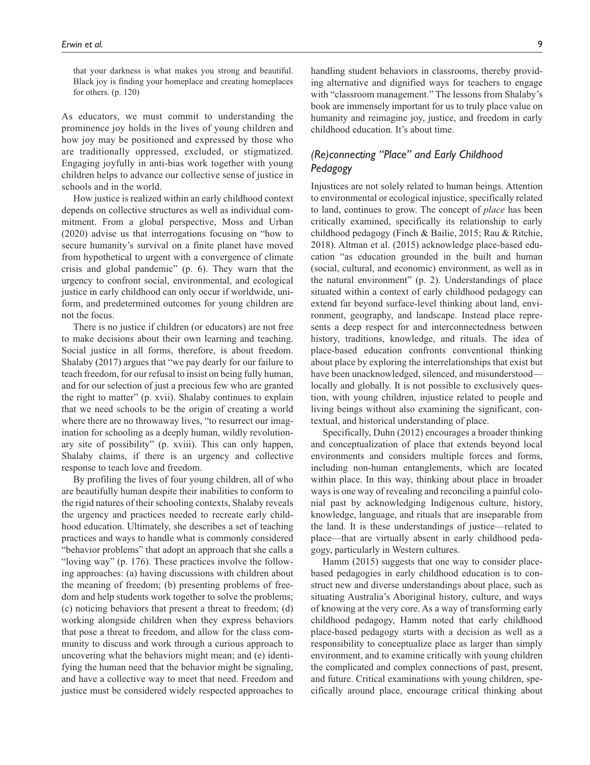that your darkness is what makes you strong and beautiful. Black joy is finding your homeplace and creating homeplaces for others. (p. 120)

As educators, we must commit to understanding the prominence joy holds in the lives of young children and how joy may be positioned and expressed by those who are traditionally oppressed, excluded, or stigmatized. Engaging joyfully in anti-bias work together with young children helps to advance our collective sense of justice in schools and in the world.

How justice is realized within an early childhood context depends on collective structures as well as individual commitment. From a global perspective, Moss and Urban (2020) advise us that interrogations focusing on "how to secure humanity's survival on a finite planet have moved from hypothetical to urgent with a convergence of climate crisis and global pandemic" (p. 6). They warn that the urgency to confront social, environmental, and ecological justice in early childhood can only occur if worldwide, uniform, and predetermined outcomes for young children are not the focus.

There is no justice if children (or educators) are not free to make decisions about their own learning and teaching. Social justice in all forms, therefore, is about freedom. Shalaby (2017) argues that "we pay dearly for our failure to teach freedom, for our refusal to insist on being fully human, and for our selection of just a precious few who are granted the right to matter" (p. xvii). Shalaby continues to explain that we need schools to be the origin of creating a world where there are no throwaway lives, "to resurrect our imagination for schooling as a deeply human, wildly revolutionary site of possibility" (p. xviii). This can only happen, Shalaby claims, if there is an urgency and collective response to teach love and freedom.

By profiling the lives of four young children, all of who are beautifully human despite their inabilities to conform to the rigid natures of their schooling contexts, Shalaby reveals the urgency and practices needed to recreate early childhood education. Ultimately, she describes a set of teaching practices and ways to handle what is commonly considered "behavior problems" that adopt an approach that she calls a "loving way" (p. 176). These practices involve the following approaches: (a) having discussions with children about the meaning of freedom; (b) presenting problems of freedom and help students work together to solve the problems; (c) noticing behaviors that present a threat to freedom; (d) working alongside children when they express behaviors that pose a threat to freedom, and allow for the class community to discuss and work through a curious approach to uncovering what the behaviors might mean; and (e) identifying the human need that the behavior might be signaling, and have a collective way to meet that need. Freedom and justice must be considered widely respected approaches to

handling student behaviors in classrooms, thereby providing alternative and dignified ways for teachers to engage with "classroom management." The lessons from Shalaby's book are immensely important for us to truly place value on humanity and reimagine joy, justice, and freedom in early childhood education. It's about time.

# *(Re)connecting "Place" and Early Childhood Pedagogy*

Injustices are not solely related to human beings. Attention to environmental or ecological injustice, specifically related to land, continues to grow. The concept of *place* has been critically examined, specifically its relationship to early childhood pedagogy (Finch & Bailie, 2015; Rau & Ritchie, 2018). Altman et al. (2015) acknowledge place-based education "as education grounded in the built and human (social, cultural, and economic) environment, as well as in the natural environment" (p. 2). Understandings of place situated within a context of early childhood pedagogy can extend far beyond surface-level thinking about land, environment, geography, and landscape. Instead place represents a deep respect for and interconnectedness between history, traditions, knowledge, and rituals. The idea of place-based education confronts conventional thinking about place by exploring the interrelationships that exist but have been unacknowledged, silenced, and misunderstood locally and globally. It is not possible to exclusively question, with young children, injustice related to people and living beings without also examining the significant, contextual, and historical understanding of place.

Specifically, Duhn (2012) encourages a broader thinking and conceptualization of place that extends beyond local environments and considers multiple forces and forms, including non-human entanglements, which are located within place. In this way, thinking about place in broader ways is one way of revealing and reconciling a painful colonial past by acknowledging Indigenous culture, history, knowledge, language, and rituals that are inseparable from the land. It is these understandings of justice—related to place—that are virtually absent in early childhood pedagogy, particularly in Western cultures.

Hamm (2015) suggests that one way to consider placebased pedagogies in early childhood education is to construct new and diverse understandings about place, such as situating Australia's Aboriginal history, culture, and ways of knowing at the very core. As a way of transforming early childhood pedagogy, Hamm noted that early childhood place-based pedagogy starts with a decision as well as a responsibility to conceptualize place as larger than simply environment, and to examine critically with young children the complicated and complex connections of past, present, and future. Critical examinations with young children, specifically around place, encourage critical thinking about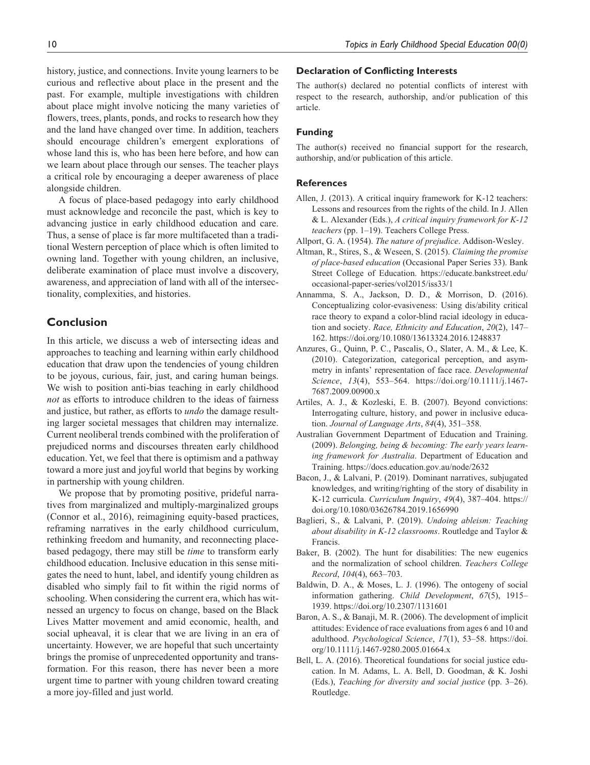history, justice, and connections. Invite young learners to be curious and reflective about place in the present and the past. For example, multiple investigations with children about place might involve noticing the many varieties of flowers, trees, plants, ponds, and rocks to research how they and the land have changed over time. In addition, teachers should encourage children's emergent explorations of whose land this is, who has been here before, and how can we learn about place through our senses. The teacher plays

alongside children. A focus of place-based pedagogy into early childhood must acknowledge and reconcile the past, which is key to advancing justice in early childhood education and care. Thus, a sense of place is far more multifaceted than a traditional Western perception of place which is often limited to owning land. Together with young children, an inclusive, deliberate examination of place must involve a discovery, awareness, and appreciation of land with all of the intersectionality, complexities, and histories.

a critical role by encouraging a deeper awareness of place

### **Conclusion**

In this article, we discuss a web of intersecting ideas and approaches to teaching and learning within early childhood education that draw upon the tendencies of young children to be joyous, curious, fair, just, and caring human beings. We wish to position anti-bias teaching in early childhood *not* as efforts to introduce children to the ideas of fairness and justice, but rather, as efforts to *undo* the damage resulting larger societal messages that children may internalize. Current neoliberal trends combined with the proliferation of prejudiced norms and discourses threaten early childhood education. Yet, we feel that there is optimism and a pathway toward a more just and joyful world that begins by working in partnership with young children.

We propose that by promoting positive, prideful narratives from marginalized and multiply-marginalized groups (Connor et al., 2016), reimagining equity-based practices, reframing narratives in the early childhood curriculum, rethinking freedom and humanity, and reconnecting placebased pedagogy, there may still be *time* to transform early childhood education. Inclusive education in this sense mitigates the need to hunt, label, and identify young children as disabled who simply fail to fit within the rigid norms of schooling. When considering the current era, which has witnessed an urgency to focus on change, based on the Black Lives Matter movement and amid economic, health, and social upheaval, it is clear that we are living in an era of uncertainty. However, we are hopeful that such uncertainty brings the promise of unprecedented opportunity and transformation. For this reason, there has never been a more urgent time to partner with young children toward creating a more joy-filled and just world.

#### **Declaration of Conflicting Interests**

The author(s) declared no potential conflicts of interest with respect to the research, authorship, and/or publication of this article.

#### **Funding**

The author(s) received no financial support for the research, authorship, and/or publication of this article.

#### **References**

- Allen, J. (2013). A critical inquiry framework for K-12 teachers: Lessons and resources from the rights of the child. In J. Allen & L. Alexander (Eds.), *A critical inquiry framework for K-12 teachers* (pp. 1–19). Teachers College Press.
- Allport, G. A. (1954). *The nature of prejudice*. Addison-Wesley.
- Altman, R., Stires, S., & Weseen, S. (2015). *Claiming the promise of place-based education* (Occasional Paper Series 33). Bank Street College of Education. [https://educate.bankstreet.edu/](https://educate.bankstreet.edu/occasional-paper-series/vol2015/iss33/1) [occasional-paper-series/vol2015/iss33/1](https://educate.bankstreet.edu/occasional-paper-series/vol2015/iss33/1)
- Annamma, S. A., Jackson, D. D., & Morrison, D. (2016). Conceptualizing color-evasiveness: Using dis/ability critical race theory to expand a color-blind racial ideology in education and society. *Race, Ethnicity and Education*, *20*(2), 147– 162.<https://doi.org/10.1080/13613324.2016.1248837>
- Anzures, G., Quinn, P. C., Pascalis, O., Slater, A. M., & Lee, K. (2010). Categorization, categorical perception, and asymmetry in infants' representation of face race. *Developmental Science*, *13*(4), 553–564. [https://doi.org/10.1111/j.1467-](https://doi.org/10.1111/j.1467-7687.2009.00900.x) [7687.2009.00900.x](https://doi.org/10.1111/j.1467-7687.2009.00900.x)
- Artiles, A. J., & Kozleski, E. B. (2007). Beyond convictions: Interrogating culture, history, and power in inclusive education. *Journal of Language Arts*, *84*(4), 351–358.
- Australian Government Department of Education and Training. (2009). *Belonging, being & becoming: The early years learning framework for Australia*. Department of Education and Training.<https://docs.education.gov.au/node/2632>
- Bacon, J., & Lalvani, P. (2019). Dominant narratives, subjugated knowledges, and writing/righting of the story of disability in K-12 curricula. *Curriculum Inquiry*, *49*(4), 387–404. [https://](https://doi.org/10.1080/03626784.2019.1656990) [doi.org/10.1080/03626784.2019.1656990](https://doi.org/10.1080/03626784.2019.1656990)
- Baglieri, S., & Lalvani, P. (2019). *Undoing ableism: Teaching about disability in K-12 classrooms*. Routledge and Taylor & Francis.
- Baker, B. (2002). The hunt for disabilities: The new eugenics and the normalization of school children. *Teachers College Record*, *104*(4), 663–703.
- Baldwin, D. A., & Moses, L. J. (1996). The ontogeny of social information gathering. *Child Development*, *67*(5), 1915– 1939. <https://doi.org/10.2307/1131601>
- Baron, A. S., & Banaji, M. R. (2006). The development of implicit attitudes: Evidence of race evaluations from ages 6 and 10 and adulthood. *Psychological Science*, *17*(1), 53–58. [https://doi.](https://doi.org/10.1111/j.1467-9280.2005.01664.x) [org/10.1111/j.1467-9280.2005.01664.x](https://doi.org/10.1111/j.1467-9280.2005.01664.x)
- Bell, L. A. (2016). Theoretical foundations for social justice education. In M. Adams, L. A. Bell, D. Goodman, & K. Joshi (Eds.), *Teaching for diversity and social justice* (pp. 3–26). Routledge.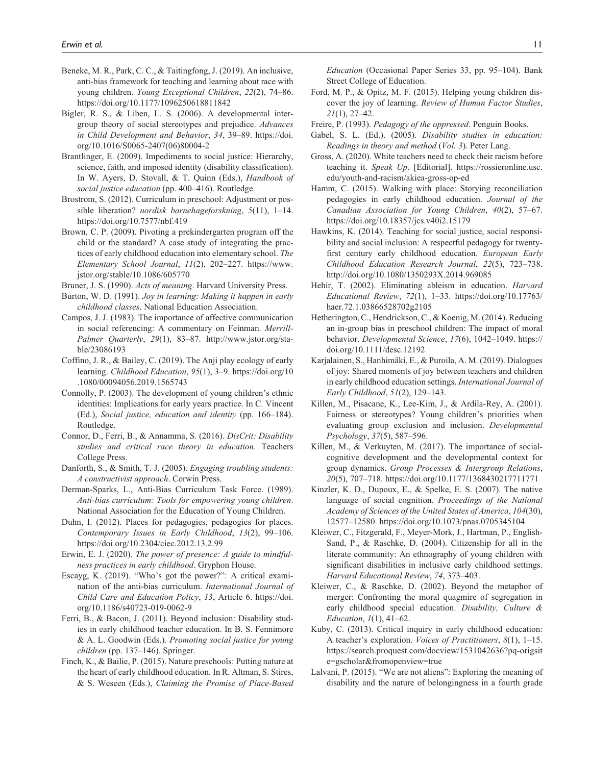- Beneke, M. R., Park, C. C., & Taitingfong, J. (2019). An inclusive, anti-bias framework for teaching and learning about race with young children. *Young Exceptional Children*, *22*(2), 74–86. <https://doi.org/10.1177/1096250618811842>
- Bigler, R. S., & Liben, L. S. (2006). A developmental intergroup theory of social stereotypes and prejudice. *Advances in Child Development and Behavior*, *34*, 39–89. [https://doi.](https://doi.org/10.1016/S0065-2407(06)80004-2) [org/10.1016/S0065-2407\(06\)80004-2](https://doi.org/10.1016/S0065-2407(06)80004-2)
- Brantlinger, E. (2009). Impediments to social justice: Hierarchy, science, faith, and imposed identity (disability classification). In W. Ayers, D. Stovall, & T. Quinn (Eds.), *Handbook of social justice education* (pp. 400–416). Routledge.
- Brostrom, S. (2012). Curriculum in preschool: Adjustment or possible liberation? *nordisk barnehageforskning*, *5*(11), 1–14. <https://doi.org/10.7577/nbf.419>
- Brown, C. P. (2009). Pivoting a prekindergarten program off the child or the standard? A case study of integrating the practices of early childhood education into elementary school. *The Elementary School Journal*, *11*(2), 202–227. [https://www.](https://www.jstor.org/stable/10.1086/605770) [jstor.org/stable/10.1086/605770](https://www.jstor.org/stable/10.1086/605770)
- Bruner, J. S. (1990). *Acts of meaning*. Harvard University Press.
- Burton, W. D. (1991). *Joy in learning: Making it happen in early childhood classes*. National Education Association.
- Campos, J. J. (1983). The importance of affective communication in social referencing: A commentary on Feinman. *Merrill-Palmer Quarterly*, *29*(1), 83–87. [http://www.jstor.org/sta](http://www.jstor.org/stable/23086193)[ble/23086193](http://www.jstor.org/stable/23086193)
- Coffino, J. R., & Bailey, C. (2019). The Anji play ecology of early learning. *Childhood Education*, *95*(1), 3–9. [https://doi.org/10](https://doi.org/10.1080/00094056.2019.1565743) [.1080/00094056.2019.1565743](https://doi.org/10.1080/00094056.2019.1565743)
- Connolly, P. (2003). The development of young children's ethnic identities: Implications for early years practice. In C. Vincent (Ed.), *Social justice, education and identity* (pp. 166–184). Routledge.
- Connor, D., Ferri, B., & Annamma, S. (2016). *DisCrit: Disability studies and critical race theory in education*. Teachers College Press.
- Danforth, S., & Smith, T. J. (2005). *Engaging troubling students: A constructivist approach*. Corwin Press.
- Derman-Sparks, L., Anti-Bias Curriculum Task Force. (1989). *Anti-bias curriculum: Tools for empowering young children*. National Association for the Education of Young Children.
- Duhn, I. (2012). Places for pedagogies, pedagogies for places. *Contemporary Issues in Early Childhood*, *13*(2), 99–106. <https://doi.org/10.2304/ciec.2012.13.2.99>
- Erwin, E. J. (2020). *The power of presence: A guide to mindfulness practices in early childhood*. Gryphon House.
- Escayg, K. (2019). "Who's got the power?": A critical examination of the anti-bias curriculum. *International Journal of Child Care and Education Policy*, *13*, Article 6. [https://doi.](https://doi.org/10.1186/s40723-019-0062-9) [org/10.1186/s40723-019-0062-9](https://doi.org/10.1186/s40723-019-0062-9)
- Ferri, B., & Bacon, J. (2011). Beyond inclusion: Disability studies in early childhood teacher education. In B. S. Fennimore & A. L. Goodwin (Eds.). *Promoting social justice for young children* (pp. 137–146). Springer.
- Finch, K., & Bailie, P. (2015). Nature preschools: Putting nature at the heart of early childhood education. In R. Altman, S. Stires, & S. Weseen (Eds.), *Claiming the Promise of Place-Based*

*Education* (Occasional Paper Series 33, pp. 95–104). Bank Street College of Education.

- Ford, M. P., & Opitz, M. F. (2015). Helping young children discover the joy of learning. *Review of Human Factor Studies*, *21*(1), 27–42.
- Freire, P. (1993). *Pedagogy of the oppressed*. Penguin Books.
- Gabel, S. L. (Ed.). (2005). *Disability studies in education: Readings in theory and method* (*Vol. 3*). Peter Lang.
- Gross, A. (2020). White teachers need to check their racism before teaching it. *Speak Up*. [Editorial]. [https://rossieronline.usc.](https://rossieronline.usc.edu/youth-and-racism/akiea-gross-op-ed) [edu/youth-and-racism/akiea-gross-op-ed](https://rossieronline.usc.edu/youth-and-racism/akiea-gross-op-ed)
- Hamm, C. (2015). Walking with place: Storying reconciliation pedagogies in early childhood education. *Journal of the Canadian Association for Young Children*, *40*(2), 57–67. <https://doi.org/10.18357/jcs.v40i2.15179>
- Hawkins, K. (2014). Teaching for social justice, social responsibility and social inclusion: A respectful pedagogy for twentyfirst century early childhood education. *European Early Childhood Education Research Journal*, *22*(5), 723–738. <http://doi.org/10.1080/1350293X.2014.969085>
- Hehir, T. (2002). Eliminating ableism in education. *Harvard Educational Review*, *72*(1), 1–33. [https://doi.org/10.17763/](https://doi.org/10.17763/haer.72.1.03866528702g2105) [haer.72.1.03866528702g2105](https://doi.org/10.17763/haer.72.1.03866528702g2105)
- Hetherington, C., Hendrickson, C., & Koenig, M. (2014). Reducing an in-group bias in preschool children: The impact of moral behavior. *Developmental Science*, *17*(6), 1042–1049. [https://](https://doi.org/10.1111/desc.12192) [doi.org/10.1111/desc.12192](https://doi.org/10.1111/desc.12192)
- Karjalainen, S., Hanhimäki, E., & Puroila, A. M. (2019). Dialogues of joy: Shared moments of joy between teachers and children in early childhood education settings. *International Journal of Early Childhood*, *51*(2), 129–143.
- Killen, M., Pisacane, K., Lee-Kim, J., & Ardila-Rey, A. (2001). Fairness or stereotypes? Young children's priorities when evaluating group exclusion and inclusion. *Developmental Psychology*, *37*(5), 587–596.
- Killen, M., & Verkuyten, M. (2017). The importance of socialcognitive development and the developmental context for group dynamics. *Group Processes & Intergroup Relations*, *20*(5), 707–718. <https://doi.org/10.1177/1368430217711771>
- Kinzler, K. D., Dupoux, E., & Spelke, E. S. (2007). The native language of social cognition. *Proceedings of the National Academy of Sciences of the United States of America*, *104*(30), 12577–12580. <https://doi.org/10.1073/pnas.0705345104>
- Kleiwer, C., Fitzgerald, F., Meyer-Mork, J., Hartman, P., English-Sand, P., & Raschke, D. (2004). Citizenship for all in the literate community: An ethnography of young children with significant disabilities in inclusive early childhood settings. *Harvard Educational Review*, *74*, 373–403.
- Kleiwer, C., & Raschke, D. (2002). Beyond the metaphor of merger: Confronting the moral quagmire of segregation in early childhood special education. *Disability, Culture & Education*, *1*(1), 41–62.
- Kuby, C. (2013). Critical inquiry in early childhood education: A teacher's exploration. *Voices of Practitioners*, *8*(1), 1–15. [https://search.proquest.com/docview/1531042636?pq-origsit](https://search.proquest.com/docview/1531042636?pq-origsite=gscholar&fromopenview=true) [e=gscholar&fromopenview=true](https://search.proquest.com/docview/1531042636?pq-origsite=gscholar&fromopenview=true)
- Lalvani, P. (2015). "We are not aliens": Exploring the meaning of disability and the nature of belongingness in a fourth grade